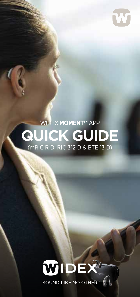

### **QUICK GUIDE** WIDEX **MOMENT™** APP (mRIC R D, RIC 312 D & BTE 13 D)

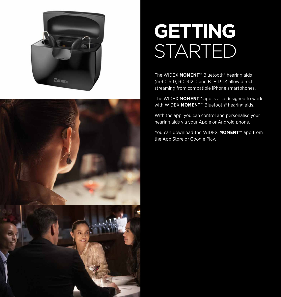



## **GETTING**  STARTED

The WIDEX **MOMENT™** Bluetooth® hearing aids (mRIC R D, RIC 312 D and BTE 13 D) allow direct streaming from compatible iPhone smartphones.

The WIDEX **MOMENT™** app is also designed to work with WIDEX **MOMENT™** Bluetooth® hearing aids.

With the app, you can control and personalise your hearing aids via your Apple or Android phone.

You can download the WIDEX **MOMENT™** app from the App Store or Google Play.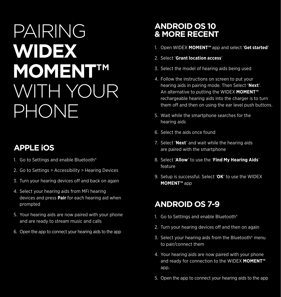# PAIRING **WIDEX MOMENT™**  WITH YOUR PHONE

### **APPLE iOS**

- 1. Go to Settings and enable Bluetooth®
- 2. Go to Settings > Accessibility > Hearing Devices
- 3. Turn your hearing devices off and back on again
- 4. Select your hearing aids from MFi hearing devices and press **Pair** for each hearing aid when prompted
- 5. Your hearing aids are now paired with your phone and are ready to stream music and calls
- 6. Open the app to connect your hearing aids to the app

#### **ANDROID OS 10 & MORE RECENT**

- 1. Open WIDEX **MOMENT™** app and select '**Get started**'
- 2. Select '**Grant location access**'
- 3. Select the model of hearing aids being used
- 4. Follow the instructions on screen to put your hearing aids in pairing mode. Then Select '**Next**'. An alternative to putting the WIDEX **MOMENT™** rechargeable hearing aids into the charger is to turn them off and then on using the ear level push buttons.
- 5. Wait while the smartphone searches for the hearing aids
- 6. Select the aids once found
- 7. Select '**Next**' and wait while the hearing aids are paired with the smartphone
- 8. Select '**Allow**' to use the '**Find My Hearing Aids**' feature
- 9. Setup is successful. Select '**OK**' to use the WIDEX **MOMENT™** app

### **ANDROID OS 7-9**

- 1. Go to Settings and enable Bluetooth®
- 2. Turn your hearing devices off and then on again
- 3. Select your hearing aids from the Bluetooth® menu to pair/connect them
- 4. Your hearing aids are now paired with your phone and ready for connection to the WIDEX **MOMENT™** app.
- 5. Open the app to connect your hearing aids to the app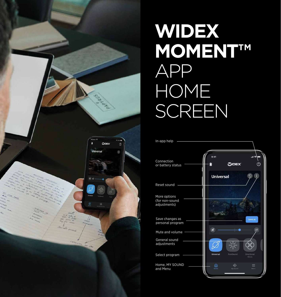

## **WIDEX MOMENT™**  APP HOME **SCREEN**

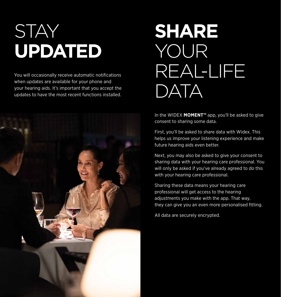# **STAY UPDATED**

You will occasionally receive automatic notifications when updates are available for your phone and your hearing aids. It's important that you accept the updates to have the most recent functions installed.



# **SHARE**  YOUR REAL-LIFE DATA

In the WIDEX **MOMENT™** app, you'll be asked to give consent to sharing some data.

First, you'll be asked to share data with Widex. This helps us improve your listening experience and make future hearing aids even better.

Next, you may also be asked to give your consent to sharing data with your hearing care professional. You will only be asked if you've already agreed to do this with your hearing care professional.

Sharing these data means your hearing care professional will get access to the hearing adjustments you make with the app. That way, they can give you an even more personalised fitting.

All data are securely encrypted.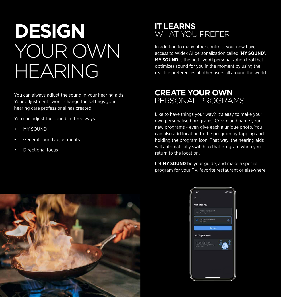## **DESIGN**  YOUR OWN HEARING

You can always adjust the sound in your hearing aids. Your adjustments won't change the settings your hearing care professional has created.

You can adjust the sound in three ways:

- MY SOUND
- General sound adjustments
- Directional focus



In addition to many other controls, your now have access to Widex AI personalization called '**MY SOUND**'. **MY SOUND** is the first live AI personalization tool that optimizes sound for you in the moment by using the real-life preferences of other users all around the world.

#### **CREATE YOUR OWN** PERSONAL PROGRAMS

Like to have things your way? It's easy to make your own personalised programs. Create and name your new programs - even give each a unique photo. You can also add location to the program by tapping and holding the program icon. That way, the hearing aids will automatically switch to that program when you return to the location.

Let **MY SOUND** be your guide, and make a special program for your TV, favorite restaurant or elsewhere.



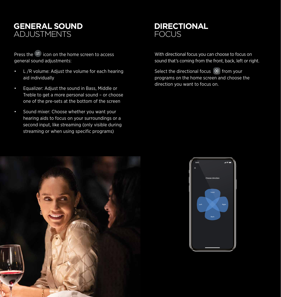

Press the  $\left(\vec{r}\right)$  icon on the home screen to access general sound adjustments:

- L /R volume: Adjust the volume for each hearing aid individually
- Equalizer: Adjust the sound in Bass, Middle or Treble to get a more personal sound – or choose one of the pre-sets at the bottom of the screen
- Sound mixer: Choose whether you want your hearing aids to focus on your surroundings or a second input, like streaming (only visible during streaming or when using specific programs)



With directional focus you can choose to focus on sound that's coming from the front, back, left or right.

Select the directional focus  $\otimes$  from your programs on the home screen and choose the direction you want to focus on.



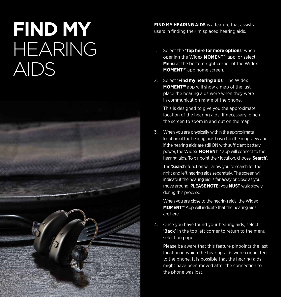# **FIND MY**  HEARING AIDS



**FIND MY HEARING AIDS** is a feature that assists users in finding their misplaced hearing aids.

- 1. Select the '**Tap here for more options**' when opening the Widex **MOMENT™** app, or select **Menu** at the bottom right corner of the Widex **MOMENT**™ app home screen.
- 2. Select '**Find my hearing aids**'. The Widex **MOMENT™** app will show a map of the last place the hearing aids were when they were in communication range of the phone.

This is designed to give you the approximate location of the hearing aids. If necessary, pinch the screen to zoom in and out on the map.

3. When you are physically within the approximate location of the hearing aids based on the map view and if the hearing aids are still ON with sufficient battery power, the Widex **MOMENT™** app will connect to the hearing aids. To pinpoint their location, choose '**Search**'.

The '**Search**' function will allow you to search for the right and left hearing aids separately. The screen will indicate if the hearing aid is far away or close as you move around. **PLEASE NOTE:** you **MUST** walk slowly during this process.

When you are close to the hearing aids, the Widex **MOMENT™** App will indicate that the hearing aids are here.

4. Once you have found your hearing aids, select '**Back**' in the top left corner to return to the menu selection page.

Please be aware that this feature pinpoints the last location in which the hearing aids were connected to the phone. It is possible that the hearing aids might have been moved after the connection to the phone was lost.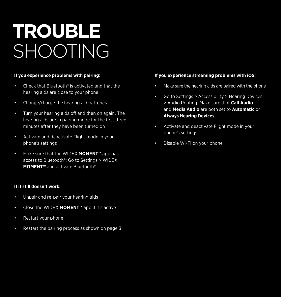# **TROUBLE** SHOOTING

#### **If you experience problems with pairing:**

- Check that Bluetooth<sup>®</sup> is activated and that the hearing aids are close to your phone
- Change/charge the hearing aid batteries
- Turn your hearing aids off and then on again. The hearing aids are in pairing mode for the first three minutes after they have been turned on
- Activate and deactivate Flight mode in your phone's settings
- Make sure that the WIDEX **MOMENT™** app has access to Bluetooth®: Go to Settings > WIDEX **MOMENT™** and activate Bluetooth®

#### **If it still doesn't work:**

- Unpair and re-pair your hearing aids
- Close the WIDEX **MOMENT™** app if it's active
- Restart your phone
- Restart the pairing process as shown on page 3

#### **If you experience streaming problems with iOS:**

- Make sure the hearing aids are paired with the phone
- Go to Settings > Accessibility > Hearing Devices > Audio Routing. Make sure that **Call Audio** and **Media Audio** are both set to **Automatic** or **Always Hearing Devices**
- Activate and deactivate Flight mode in your phone's settings
- Disable Wi-Fi on your phone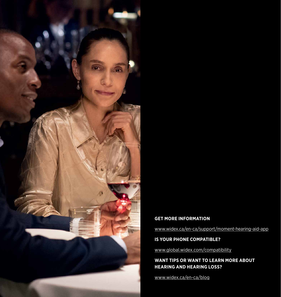

#### **GET MORE INFORMATION**

www.widex.ca/en-ca/support/moment-hearing-aid-app

#### **IS YOUR PHONE COMPATIBLE?**

www.global.widex.com/compatibility

#### **WANT TIPS OR WANT TO LEARN MORE ABOUT HEARING AND HEARING LOSS?**

www.widex.ca/en-ca/blog